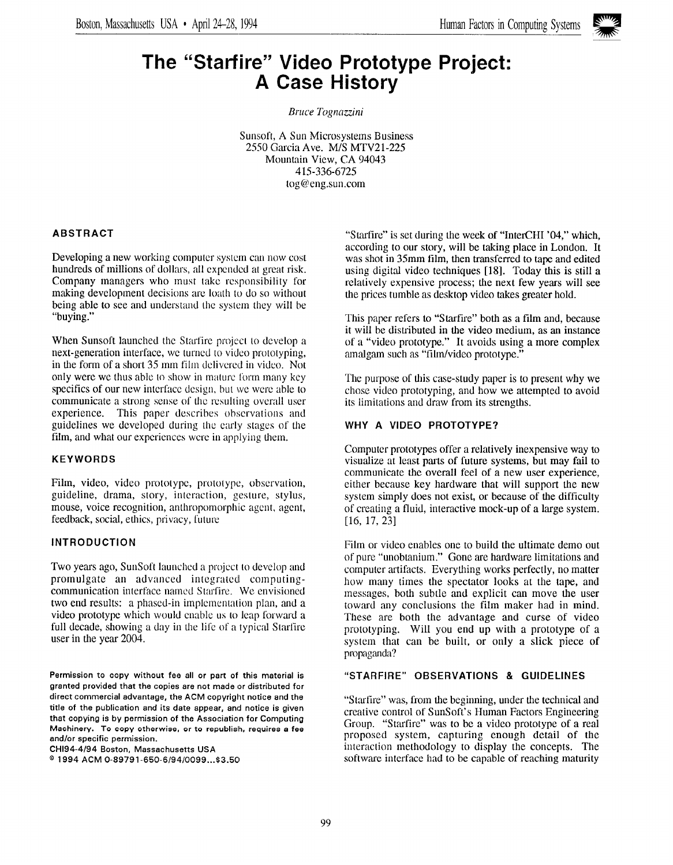

# The "Starfire" Video Prototype Project: A Case History

Bruce Tognazzini

Sunsofr, A Sun Microsystems Business 2550 Garcia Ave. MIS MTV21-225 Mountain View, CA 94043 415-336-6725 log@ eng.sun.com

# ABSTRACT

Developing a new working computer systcm can now cost hundreds of millions of dollars, atl expended at great risk. Company managers who must take responsibility for making development decisions are loath to do so without being able to see and understand the system they will be "buying."

When Sunsoft launched the Starfire project to develop a next-generation interface, we turned to wdeo prototyping, in the form of a short 35 mm film delivered in video. Not only were we thus able to show in mature form many key specifics of our new interface design, but we were able to communicate a strong sense of the resulting overall user experience. This paper describes observations and guidelines we developed during the early stages of the film, and what our experiences were in applying them.

# KEYWORDS

Film, video, video prototype, prototype, observation, guideline, drama, story, interaction, gesture, stylus, mouse, voice recognition, anthropomorphic agent, agent, feedback, social, ethics, privacy, future

# INTRODUCTION

Two years ago, SunSoft launched a project to develop and promulgate an advanced integrated computingcommunication interface named Starfire. We envisioned two end results: a phased-in implementation plan, and a video prototype which would enable us to leap forward a full decade, showing a day in the life of a typical Starfire user in the year 2004.

Permission to copy without fee all or part of this material is granted provided that the copies are not made or distributed for direct commercial advantage, the ACM copyright notice and the title of the publication and its date appear, and notice is given that copying is by permission of the Association for Computing Machinery. To copy otherwise, or to republish, requires a fee and/or specific permission.

CH194-4/94 Boston, Massachusetts USA

 $@ 1994$  ACM 0-89791-650-6/94/0099...\$3.50

"Starfire" is set during the week of "InterCHI '04," which, according to our story, will be taking place in London. It was shot in 35mm film, then transferred to tape and edited using digital video techniques [18]. Today this is still a relatively expensive process; the next few years will see the prices tumble as desktop video takes greater hold.

This paper refers to "Starfire" both as a film and, because it will be distributed in the video medium, as an instance of a "video prototype." It avoids using a more complex amalgam such as "film/video prototype."

The purpose of this case-study paper is to present why we chose video prototyping, and how we attempted to avoid its limitations and draw from its strengths,

## WHY A VIDEO PROTOTYPE?

Computer prototypes offer a relatively inexpensive way to visualize at least parts of future systems, but may fail to communicate the overall feel of a new user experience, either because key hardware that will support the new system simply does not exist, or because of the difficulty of creating a fluid, interactive mock-up of a large system. [16, 17, 23]

Film or video enables one to build the ultimate demo out of pure "unobtanium." Gone are hardware limitations and computer artifacts. Everything works perfectly, no matter how many times the spectator looks at the tape, and messages, both subtle and explicit can move the user toward any conclusions the film maker had in mind. These are both the advantage and curse of video prototyping. Will you end up with a prototype of a system that can be built, or only a slick piece of propaganda?

# "STARFIRE" OBSERVATIONS & GUIDELINES

"Startire" was, from the beginning, under the technical and creative control of SunSoft's Human Factors Engineering Group. "Starfire" was to be a video prototype of a real proposed system, capturing enough detail of the interaction methodology to display the concepts. The software interface had to be capable of reaching maturity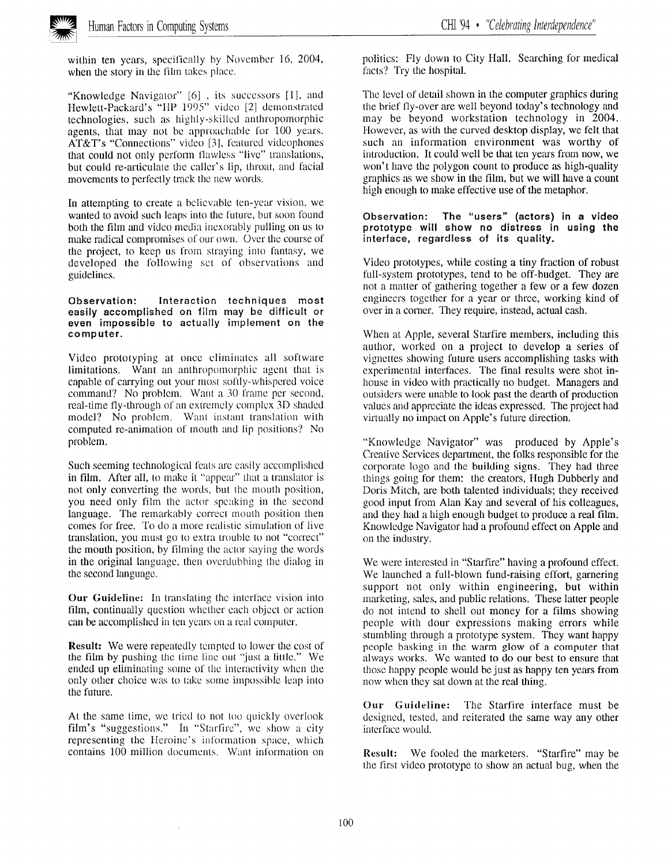within ten years, specifically by November 16, 2004, when the story in the film takes place.

"Knowledge Navigator" [6] , its successors [1], and Hewlett-Packard's "HP 1995" video [2] demonstrated technologies, such as highly-skilled anthropomorphic agents, that may not be zpproachablc Ior 100 years. AT&T's "Connections" video [3], featured videophones that could not only perform flawless "live" translations, but could re-articulate the caller's lip, throat, and facial movements to perfectly track the ncw words.

In attempting to create a bclicvablc km-year vision, we wanted to avoid such leaps into the future, but soon found both the film and video media inexorably pulling on us to make radical compromises of our own. Over the course of the project, to keep us from straying into fantasy, we developed the following set of observations and guidelines.

#### Observation: Interaction techniques most easily accomplished on film may be difficult or even impossible to actually implement on the computer.

Video prototyping at once eliminates all software limitations. Want an anthropomorphic agent that is capable of carrying out your most sotlly-whispered voice command? No problem. Want a 30 frame per second, real-time fly-through of an extremely complex 3D shaded model? No problem. Want instant translation with computed re-animation of mouth and lip positions? No problem.

Such seeming technological feats are easily accomplished in film. After all, to make it "appear" that a translator is not only converting the words, but the mouth position, you need only film the actor speaking in the second language. The remarkably correct mouth position then comes for free. To do a more realistic simulation of live translation, you must go 10 extra lroublc to not "correct" the mouth position, by filming lhe actor saying the words in the original language, then overdubbing the dialog in the second language.

Our Guideline: In translating the interface vision into film, continually question whether each object or action can be accomplished in ten years on a real computer.

**Result:** We were repeatedly tempted to lower the cost of the film by pushing the (ime Iinc out "just a Iillle." We ended up eliminating some of the interactivity when the only other choice was to take some impossible leap into the future.

At the same time, we tried to not too quickly overlook film's "suggestions." In "Starfire", we show a city representing the Heroine's information space, which contains 100 million documents. Want information on politics: Fly down to City Hall. Searching for medical facts? Try the hospital.

The level of detail shown in the computer graphics during the brief fly-over are well beyond today's technology and may be beyond workstation technology in 2004. However, as with the curved desktop display, we felt that such an information environment was worthy of introduction. It could well be that ten years from now, we won't have the polygon count to produce as high-quality graphics as we show in the film, but we will have a count high enough to make effective use of the metaphor.

### Observation: The "users" (actors) in a video prototype will show no distress in using the interface, regardless of its quality.

Video prototypes, while costing a tiny fraction of robust full-system prototypes, tend to be off-budget. They are not a matter of gathering together a few or a few dozen engineers together for a year or three, working kind of over in a comer. They require, instead, actual cash.

When at Apple, several Starfire members, including this author, worked on a project to develop a series of vignettes showing future users accomplishing tasks with experimental interfaces. The final results were shot inhouse in video with practically no budget. Managers and outsiders were unable to look past the dearth of production vatues and appreciate the ideas expressed. The project had virtually no impact on Apple's future direction.

"Knowledge Navigator" was produced by Apple's Creative Services department, the folks responsible for the corporate logo and the building signs. They had three things going for them: the creators, Hugh Dubberly and Doris Mitch, are both talented individuals; they received good input from Alan Kay and several of his colleagues, and they had a high enough budget to produce a real film. Knowledge Navigator had a profound effect on Apple and on the industry.

We were interested in "Starfire" having a profound effect. We launched a full-blown fund-raising effort, garnering support not only within engineering, but within marketing, sales, and public relations. These latter people do not intend to shell out money for a films showing people with dour expressions making errors while stumbling through a prototype system. They want happy people basking in the warm glow of a computer that always works. We wanted to do our best to ensure that those happy people would be just as happy ten years from now when they sat down at the real thing.

Our Guideline: The Starfire interface must be designed, tested, and reiterated the same way any other interface would.

Result: We fooled the marketers. "Starfire" may be the first video prototype to show an actuat bug, when the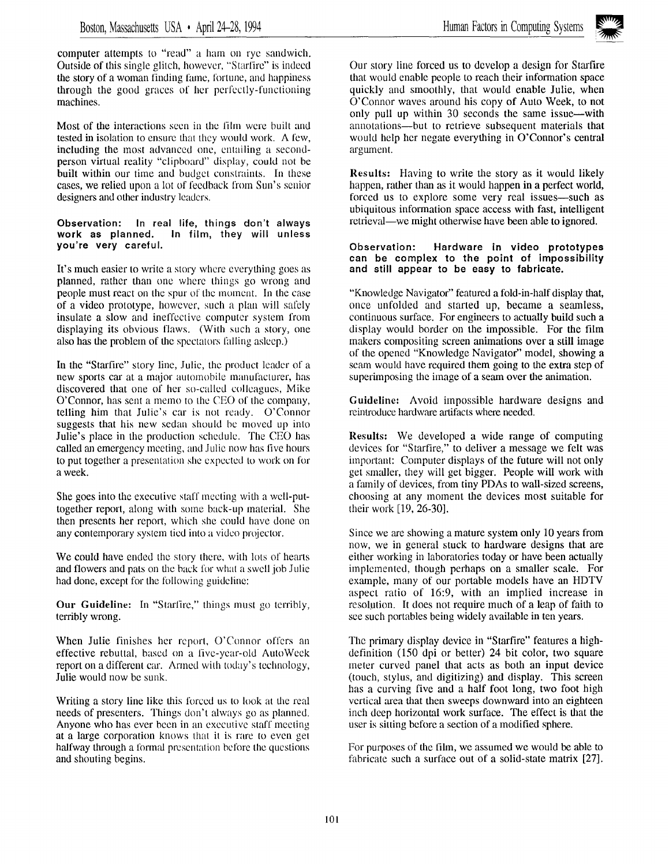computer attempts to "read" a ham on ryc sandwich. Outside of this single glitch, however, "Starfire" is indeed the story of a woman finding fame, fortune, and happiness through the good graces of her perfectly-functioning machines.

Most of the interactions seen in the film were built and tested in isolation to ensure that they would work. A few, including the most advanced one, entailing a secondperson virtual reality "clipboard" display, could not be built within our time and budget constraints. In these cases, we relied upon a lot of feedback from Sun's senior designers and other industry leaders.

#### Observation: In real life, things don't always In film, they will unless you're very careful.

It's much easier to write a story where everything goes as planned, rather than one where things go wrong and people must react on the spur of the moment. In the case of a video prototype, however, such a plan will safely insulate a slow aad ineffective computer system from displaying its obvious flaws. (With such a story, one also has the problem of the spcctaiors tilling asleep.)

In the "Starfire" story line, Julie, the product leader of a new sports car at a major automobile manufacturer, has discovered that one of her so-called colleagues, Mike O'Connor, has sent a memo to the CEO of the company, telling him that Julie's car is not ready. O'Connor suggests that his new sedan should be moved up inlo Julie's place in the production schedule. The CEO has called an emergency meeting, and Julie now has five hours to put together a prescn[alioa she expcctcd to work on for a week.

She goes into the executive staff meeting with a well-puttogether report, along with some back-up material. She then presents her report, which she could have done on any contemporary system tied inlo a video projector.

We could have ended the story there, with lots of hearts and flowers and pats on the back for what a swell job Julie had done, except for the following guideline:

Our Guideline: In "Starfire," things must go terribly, terribly wrong.

When Julie finishes her report, O'Connor offers an effective rebuttal, based on a five-year-old AuloWeek report on a different car. Armed with today's technology, Julie would now be sunk.

Writing a story line like this forced us to look at the real needs of presenters. Things don't always go as planned. Anyone who has ever been in an executive staff meeting at a large corporation knows that it is rare to even get halfway through a formal presentation before the questions and shouting begins.



Our story line forced us to develop a design for Starfire that would enable people to reach their information space quickly and smoothly, that would enable Julie, when 0'Connor waves around his copy of Auto Week, to not only pull up within 30 seconds the same issue—with annotations--but to retrieve subsequent materials that would help hcr negate everything in O'Connor's central argument.

Results: Having to write the story as it would likely happen, rather than as it would happen in a perfect world, forced us to explore some very real issues—such as ubiquitous information space access with fast, intelligent retrieval—we might otherwise have been able to ignored.

#### Observation: Hardware in video prototypes can be complex to the point of impossibility and still appear to be easy to fabricate.

"Knowledge Navigator" featured a fold-in-half display that, once unfolded and started up, became a seamless, continuous surface. For engineers to actually build such a display would border on the impossible. For the film makers compositing screen animations over a still image of (he opened "Knowledge Navigator" model, showing a scam would have required them going to the extra step of superimposing the image of a seam over the animation.

Guideline: Avoid impossible hardware designs and reintroduce hardware artifacts where needed.

Results: We developed a wide range of computing devices for "Starfire," to deliver a message we felt was important: Computer displays of the future will not only gel smaller, they will get bigger. People will work with a family of devices, from tiny PDAs to wall-sized screens, choosing at any moment the devices most suitable for (heir work [19, 26-30].

Since we arc showing a mature system only 10 years from now, we in general stuck to hardware designs that are either working in laboratories today or have been actually implemented, though perhaps on a smaller scale. For example, many of our portable models have an HDTV aspect ratio of 16:9, with an implied increase in resolution. It does not require much of a leap of faith to see such portables being widely available in ten years.

The primary display device in "Starfire" features a highdefinition  $(150 \text{ dpi} \text{ or better})$  24 bit color, two square meter curved panel that acts as both an input device (touch, stylus, and digitizing) and display. This screen has a curving five and a half foot long, two foot high vertical area that then sweeps downward into an eighteen inch deep horizontal work surface. The effect is that the user is sitting before a section of a modified sphere.

For purposes of the film, we assumed we would be able to fabricate such a surface out of a solid-state matrix [27].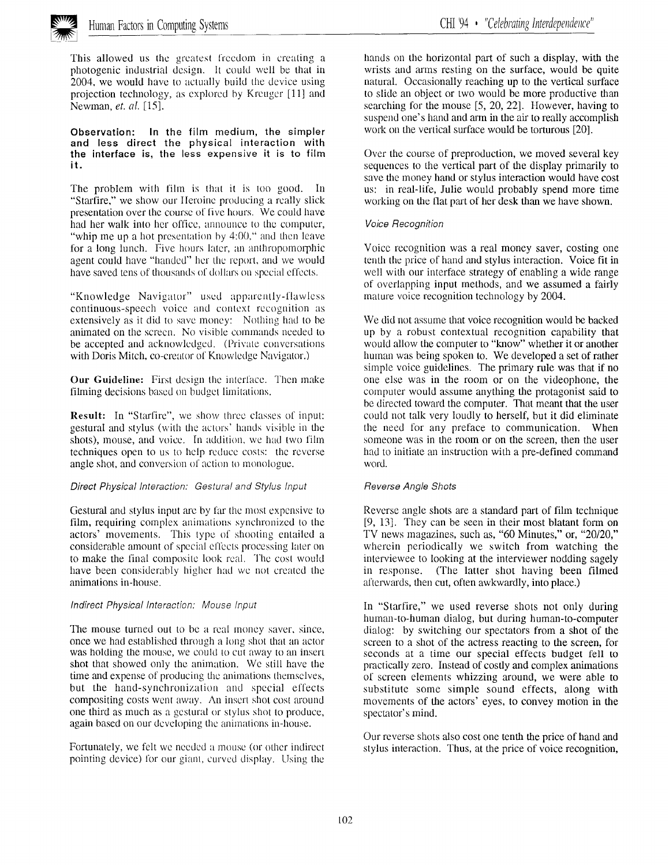

This allowed us the greatest freedom in creating a photogenic industrial design. 11 could well be thal in 2004, we would have to actually build the device using projection technology, as explored by Kreuger [11] and Newman, *et. al.* [15].

#### Observation: In the film medium, the simpler and less direct the physical interaction with the interface is, the less expensive it is to film it.

The problem with film is that it is too good. In "Starfire," we show our Heroine producing a really slick presentation over the course of five hours. We could have had her walk into her office, announce to the computer, "whip me up a hot presentation by  $4:00$ ," and then leave for a long lunch. Five hours later, an anthropomorphic agent could have "handed" her the report, and we would have saved tens of thousands of dollars on special effects.

"Knowledge Navigator" used apparently-flawless continuous-speech voice and context recognition as extensively as it did to save money: Nothing had to be animated on the screen. No visible commands needed to be accepted and acknowledged. (Private conversations with Doris Mitch, co-creator of Knowledge Navigator.)

Our Guideline: First design the interface. Then make filming decisions based on budget limitations.

Result: In "Starfire", we show three classes of input: gestural and stylus (with the actors' hands visible in the shots), mouse, and voice. In addition, we had two film techniques open to us to help reduce costs: the reverse angle shot, and conversion of action to monologue.

### Direct Physical Interaction: Gestural and Stylus Input

Gestural and stylus input are by far the most expensive to film, requiring complex animations synchronized to the actors' movements. This type of shooting entailed a considerable amount of special effects processing later on to make the final composite look real. The cost would have been considerably higher had we not created the animations in-house.

### Indirect Physical Interaction: Mouse Input

The mouse turned out to be a real money saver, since, once we had established through a long shot that an actor was holding the mouse, we could to cut away to an insert shot that showed only the animation. We still have the time and expense of producing the animations themselves, but the hand-synchronization and special effects compositing costs went away. An insert shot cost around one third as much as a gestural or stylus shot to produce, again based on our developing the animations in-house.

Fortunately, we felt we needed a mouse (or other indirect pointing device) for our giant, curved display. Using the hands on the horizontal part of such a display, with the wrists and arms resting on the surface, would be quite natural, Occasionally reaching up to the vertical surface to slide an object or two would be more productive than searching for the mouse [5, 20, 22]. However, having to suspend one's hand and arm in the air to really accomplish work on the vertical surface would be torturous [20].

Over the course of preproduction, we moved several key sequences to the vertical part of the display primarily to save the money hand or stylus interaction would have cost us: in real-life, Julie would probably spend more time working on the flat part of her desk than we have shown.

## Voice Recognition

Voice recognition was a real money saver, costing one tenth the price of hand and stylus interaction. Voice fit in well with our interface strategy of enabling a wide range of overlapping input methods, and we assumed a fairly mature voice recognition technology by 2004.

We did not assume that voice recognition would be backed up by a robust contextual recognition capability that would allow the computer to "know" whether it or another human was being spoken to. We developed a set of rather simple voice guidelines. The primary rule was that if no one else was in the room or on the videophone, the computer would assume anything the protagonist said to be directed toward the computer. That meant that the user could not talk very loudly to herself, but it did eliminate the need for any preface to communication. When someone was in the room or on the screen, then the user had to initiate an instruction with a pre-defined command word.

# Reverse Angle Shots

Reverse angle shots are a standard part of film technique [9, 13]. They can be seen in their most blatant form on TV news magazines, such as, "60 Minutes," or, "20/20," wherein periodically we switch from watching the interviewee to looking at the interviewer nodding sagely in response. (The latter shot having been filmed afterwards, then cut, often awkwardly, into place.)

In "Starfire," we used reverse shots not only during human-to-human dialog, but during human-to-computer dialog: by switching our spectators from a shot of the screen to a shot of the actress reacting to the screen, for seconds at a time our special effects budget fell to practically zero. Instead of costly and complex animations of screen elements whizzing around, we were able to substitute some simple sound effects, along with movements of the actors' eyes, to convey motion in the spectator's mind.

Our reverse shots also cost one tenth the price of hand and stylus interaction. Thus, at the price of voice recognition,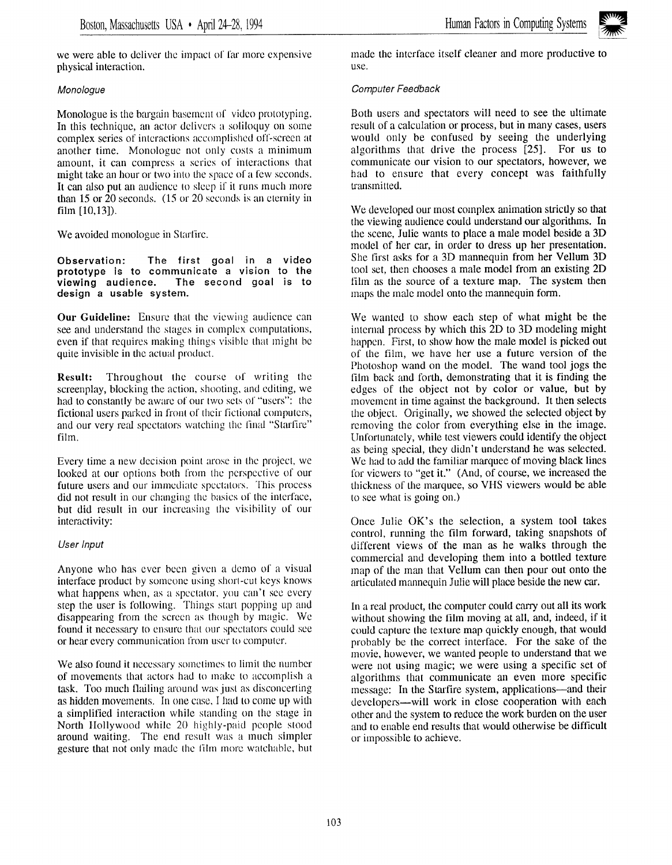we were able to deliver the impact of far more expensive physical interaction.

## Monologue

Monologue is the bargain basement of video prototyping. In this technique, an actor delivers a soliloquy on some complex series of interactions accomplished off-screen at another time. Monologue not only costs a minimum amount, it can compress a series of interactions that might take an hour or two into the space of a few seconds. It can also put an audience to sleep if it runs much more than 15 or 20 seconds.  $(15 \text{ or } 20 \text{ seconds})$  is an eternity in film [10,13]).

We avoided monologue in Starfire.

Observation: The first goal in a video prototype is to communicate a vision to the viewing audience. The second goal is to design a usable system.

**Our Guideline:** Ensure that the viewing audience can see and understand the stages in complex computations, even if that requires making things visible that might be quite invisible in the actual product.

Throughout the course of writing the Result: screenplay, blocking the action, shooting, and editing, we had to constantly be aware of our two sets of "users": the fictional users parked in front of their fictional computers, and our very real spectators watching the final "Starfire" film.

Every time a new decision point arose in the project, we looked at our options both from the perspective of our future users and our immediate spectators. This process did not result in our changing the basics of the interface, but did result in our increasing the visibility of our interactivity:

# User Input

Anyone who has ever been given a demo of a visual interface product by someone using short-cut keys knows what happens when, as a spectator, you can't see every step the user is following. Things start popping up and disappearing from the screen as though by magic. We found it necessary to ensure that our spectators could see or hear every communication from user to computer.

We also found it necessary sometimes to limit the number of movements that actors had to make to accomplish a task. Too much flailing around was just as disconcerting as hidden movements. In one case, I had to come up with a simplified interaction while standing on the stage in North Hollywood while 20 highly-paid people stood around waiting. The end result was a much simpler gesture that not only made the film more watchable, but



made the interface itself cleaner and more productive to use.

## Computer Feedback

Both users and spectators will need to see the ultimate result of a calculation or process, but in many cases, users would only be confused by seeing the underlying algorithms that drive the process [25]. For us to communicate our vision to our spectators, however, we had to ensure that every concept was faithfully transmitted.

We developed our most complex animation strictly so that the viewing audience could understand our algorithms. In the scene, Julie wants to place a male model beside a 3D model of her car, in order to dress up her presentation. She first asks for a 3D mannequin from her Vellum 3D tool set, then chooses a male model from an existing 2D film as the source of a texture map. The system then maps the male model onto the mannequin form.

We wanted to show each step of what might be the internal process by which this 2D to 3D modeling might happen. First, to show how the male model is picked out of the film, we have her use a future version of the Photoshop wand on the model. The wand tool jogs the film back and forth, demonstrating that it is finding the edges of the object not by color or value, but by movement in time against the background. It then selects the object. Originally, we showed the selected object by removing the color from everything else in the image. Unfortunately, while test viewers could identify the object as being special, they didn't understand he was selected. We had to add the familiar marquee of moving black lines for viewers to "get it." (And, of course, we increased the thickness of the marquee, so VHS viewers would be able to see what is going on.)

Once Julie OK's the selection, a system tool takes control, running the film forward, taking snapshots of different views of the man as he walks through the commercial and developing them into a bottled texture map of the man that Vellum can then pour out onto the articulated mannequin Julie will place beside the new car.

In a real product, the computer could carry out all its work without showing the film moving at all, and, indeed, if it could capture the texture map quickly enough, that would probably be the correct interface. For the sake of the movie, however, we wanted people to understand that we were not using magic; we were using a specific set of algorithms that communicate an even more specific message: In the Starfire system, applications-and their developers—will work in close cooperation with each other and the system to reduce the work burden on the user and to enable end results that would otherwise be difficult or impossible to achieve.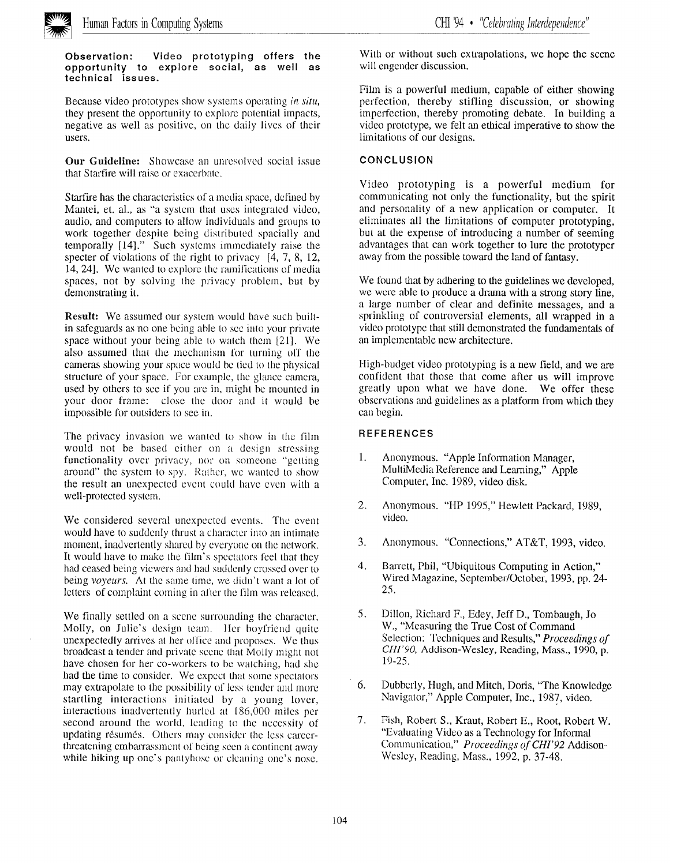#### Observation: Video prototyping offers the<br>opportunity to explore social as well as opportunity to explore social, as well technical issues.

Because video prototypes show systems operating in situ, they present the opportunity to explore polcntial impacts, negative as well as positive, on the daily lives of their users.

Our Guideline: Showcase an unresolved social issue that Starfire will raise or exacerhatc.

Starfire has the characteristics of a media space, defined by Mantei, et. al., as "a system that uses integrated video, audio, and computers to allow individuals and groups to work together despite being distributed spacially and temporally [14]." Such systems immediately raise the specter of violations of the right to privacy  $[4, 7, 8, 12,$ 14, 24]. We wanted to explore the ramifications of media spaces, not by solving the privacy problem, but by demonstrating it.

Result: We assumed our system would have such builtin safeguards as no one being able to see into your private space without your being able to watch them [21]. We also assumed that the mechanism for turning off the cameras showing your space would be tied to the physical structure of your space. For example, the glance camera, used by others to see if you are in, might be mounted in your door frame: close the door and it would be impossible for outsiders to see in.

The privacy invasion we wanted to show in the film would not be based either on a design stressing functionality over privacy, nor on someone "getting around" the system to spy. Rather, we wanted to show the result an unexpected event could have even with a well-protected syslem.

We considered several unexpected events. The event would have to suddenly thrust a character into an intimate moment, inadvertently shared by everyone on the network. It would have to make the film's spectators feel that they had ceased being viewers and had suddenly crossed over to being *voyeurs*. At the same time, we didn't want a lot of letters of complaint coming in after the film was released.

We finally settled on a scene surrounding the character, Molly, on Julie's design team. Her boyfriend quite unexpectedly arrives at her office and proposes. We thus broadcast a tender and private scene (hat Molly might not have chosen for her co-workers to be watching, had she had the time to consider. We expect that some spectators may extrapolate to the possibility of less tender and more startling interactions initiated by a young lover, interactions inadvertently hurled at 186,000 miles per second around the world, leading to the necessity of updating résumés. Others may consider the less career-threatening embarrassment of being seen a continent away while hiking up one's pantyhose or cleaning one's nose. With or without such extrapolations, we hope the scene will engender discussion.

Film is a powerful medium, capable of either showing perfection, thereby stifling discussion, or showing imperfection, thereby promoting debate. In building a video prototype, we felt an ethical imperative to show the limitations of our designs.

## **CONCLUSION**

Video prototyping is a powerful medium for communicating not only the functionality, but the spirit and personality of a new application or computer. It eliminates all the limitations of computer prototyping, but at the expense of introducing a number of seeming advantages that can work together to lure the prototype away from the possible toward the land of fantasy.

We found that by adhering to the guidelines we developed, we were able to produce a drama with a strong story line, a large number of clear and definite messages, and a sprinkling of controversial elements, all wrapped in a video prototype that still demonstrated the fundamentals of an implementable new architecture.

High-budget video prototyping is a new field, and we are confident that those that come after us will improve greatly upon what we have done. We offer these observations and guidelines as a platform from which they can begin.

## REFERENCES

- 1. Anonymous. "Apple Information Manager, MultiMedia Reference and Learning," Apple Computer, Inc. 1989, video disk.
- 2. Anonymous. "HP 1995," Hewlett Packard, 1989, video.
- 3. Anonymous. "Connections," AT&T, 1993, video.
- 4. Barrett, Phil, "Ubiquitous Computing in Action," Wired Magazine, September/October, 1993, pp. 24- 25.
- 5. Dillon, Richard F., Edey, Jeff D., Tombaugh, Jo W., "Measuring the True Cost of Command Selection: Techniques and Results," Proceedings of CHI'90, Addison-Wesley, Reading, Mass., 1990, p. 19-25.
- 6. Dubbcrly, Hugh, and Mitch, Doris, "The Knowledge Navigator," Apple Computer, Inc., 1987, video.
- 7. Fish, Robert S., Kraut, Robert E,, Root, Robert W. "Evaluating Video as a Technology for Informal Communication," Proceedings of CHI'92 Addison-Wcslcy, Reading, Mass., 1992, p. 37-48.